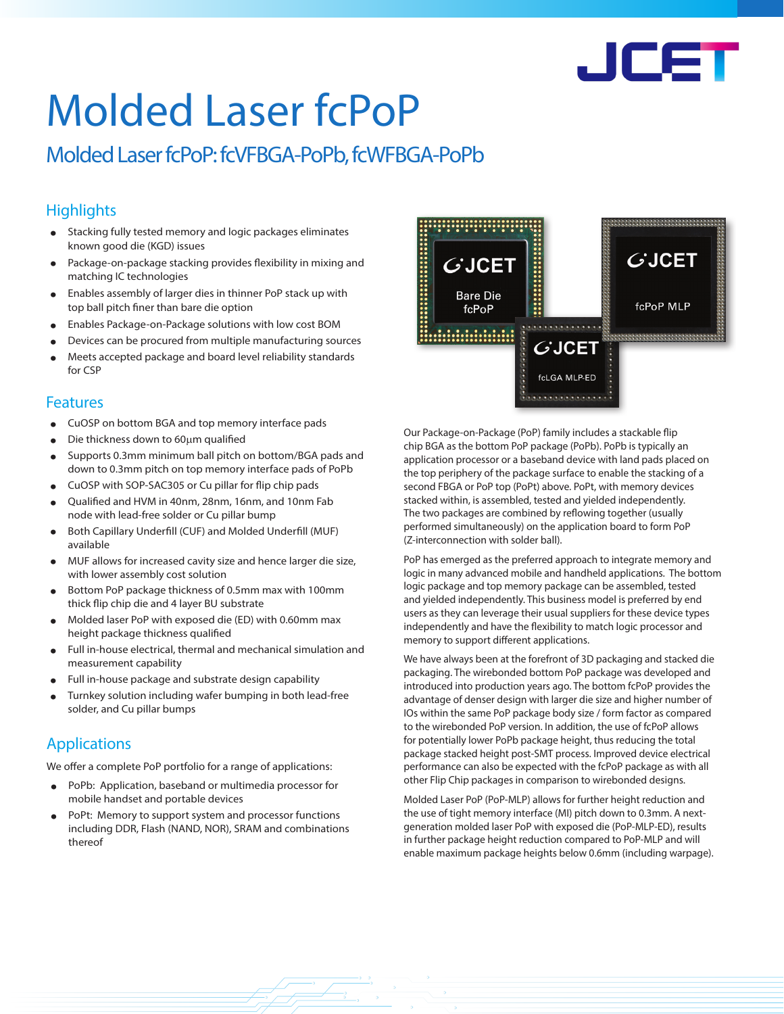

# Molded Laser fcPoP

# Molded Laser fcPoP: fcVFBGA-PoPb, fcWFBGA-PoPb

# **Highlights**

- Stacking fully tested memory and logic packages eliminates known good die (KGD) issues
- Package-on-package stacking provides flexibility in mixing and matching IC technologies
- Enables assembly of larger dies in thinner PoP stack up with top ball pitch finer than bare die option
- Enables Package-on-Package solutions with low cost BOM
- Devices can be procured from multiple manufacturing sources
- Meets accepted package and board level reliability standards for CSP

#### Features

- CuOSP on bottom BGA and top memory interface pads
- Die thickness down to 60µm qualified
- Supports 0.3mm minimum ball pitch on bottom/BGA pads and down to 0.3mm pitch on top memory interface pads of PoPb
- CuOSP with SOP-SAC305 or Cu pillar for flip chip pads
- Qualified and HVM in 40nm, 28nm, 16nm, and 10nm Fab node with lead-free solder or Cu pillar bump
- Both Capillary Underfill (CUF) and Molded Underfill (MUF) available
- MUF allows for increased cavity size and hence larger die size, with lower assembly cost solution
- Bottom PoP package thickness of 0.5mm max with 100mm thick flip chip die and 4 layer BU substrate
- Molded laser PoP with exposed die (ED) with 0.60mm max height package thickness qualified
- Full in-house electrical, thermal and mechanical simulation and measurement capability
- Full in-house package and substrate design capability
- Turnkey solution including wafer bumping in both lead-free solder, and Cu pillar bumps

### **Applications**

We offer a complete PoP portfolio for a range of applications:

- PoPb: Application, baseband or multimedia processor for mobile handset and portable devices
- PoPt: Memory to support system and processor functions including DDR, Flash (NAND, NOR), SRAM and combinations thereof



Our Package-on-Package (PoP) family includes a stackable flip chip BGA as the bottom PoP package (PoPb). PoPb is typically an application processor or a baseband device with land pads placed on the top periphery of the package surface to enable the stacking of a second FBGA or PoP top (PoPt) above. PoPt, with memory devices stacked within, is assembled, tested and yielded independently. The two packages are combined by reflowing together (usually performed simultaneously) on the application board to form PoP (Z-interconnection with solder ball).

PoP has emerged as the preferred approach to integrate memory and logic in many advanced mobile and handheld applications. The bottom logic package and top memory package can be assembled, tested and yielded independently. This business model is preferred by end users as they can leverage their usual suppliers for these device types independently and have the flexibility to match logic processor and memory to support different applications.

We have always been at the forefront of 3D packaging and stacked die packaging. The wirebonded bottom PoP package was developed and introduced into production years ago. The bottom fcPoP provides the advantage of denser design with larger die size and higher number of IOs within the same PoP package body size / form factor as compared to the wirebonded PoP version. In addition, the use of fcPoP allows for potentially lower PoPb package height, thus reducing the total package stacked height post-SMT process. Improved device electrical performance can also be expected with the fcPoP package as with all other Flip Chip packages in comparison to wirebonded designs.

Molded Laser PoP (PoP-MLP) allows for further height reduction and the use of tight memory interface (MI) pitch down to 0.3mm. A nextgeneration molded laser PoP with exposed die (PoP-MLP-ED), results in further package height reduction compared to PoP-MLP and will enable maximum package heights below 0.6mm (including warpage).